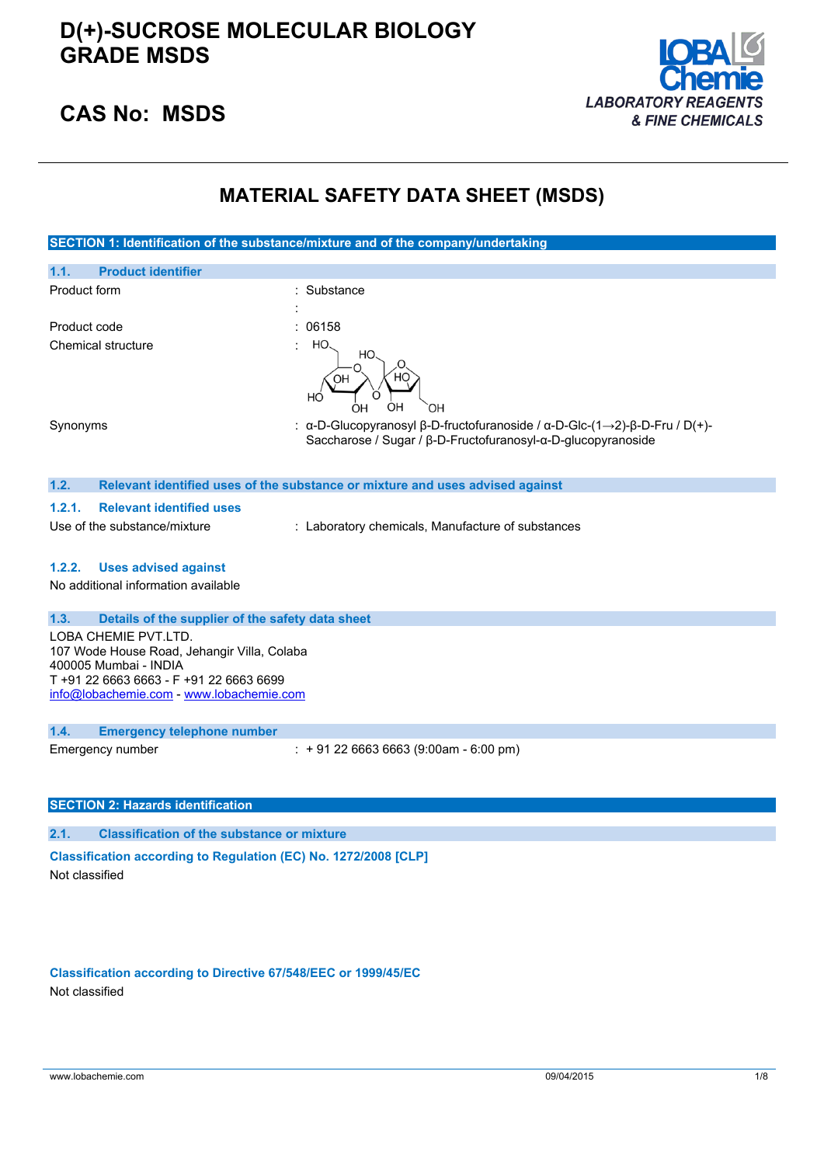

### **CAS No: MSDS**

## **MATERIAL SAFETY DATA SHEET (MSDS)**

| SECTION 1: Identification of the substance/mixture and of the company/undertaking   |                                                                                                                                           |  |
|-------------------------------------------------------------------------------------|-------------------------------------------------------------------------------------------------------------------------------------------|--|
| 1.1.<br><b>Product identifier</b>                                                   |                                                                                                                                           |  |
| Product form                                                                        | Substance                                                                                                                                 |  |
|                                                                                     |                                                                                                                                           |  |
| Product code                                                                        | 06158                                                                                                                                     |  |
| Chemical structure                                                                  | HO.<br>HO.<br>HС<br>OH<br>HO<br>OН<br>OН<br>OН                                                                                            |  |
| Synonyms                                                                            | : α-D-Glucopyranosyl β-D-fructofuranoside / α-D-Glc-(1→2)-β-D-Fru / D(+)-<br>Saccharose / Sugar / β-D-Fructofuranosyl-α-D-glucopyranoside |  |
| 1.2.                                                                                | Relevant identified uses of the substance or mixture and uses advised against                                                             |  |
| 1.2.1.<br><b>Relevant identified uses</b>                                           |                                                                                                                                           |  |
| Use of the substance/mixture                                                        | : Laboratory chemicals, Manufacture of substances                                                                                         |  |
|                                                                                     |                                                                                                                                           |  |
| 1.2.2.<br><b>Uses advised against</b>                                               |                                                                                                                                           |  |
| No additional information available                                                 |                                                                                                                                           |  |
|                                                                                     |                                                                                                                                           |  |
| 1.3.<br>Details of the supplier of the safety data sheet<br>LOBA CHEMIE PVT.LTD.    |                                                                                                                                           |  |
| 107 Wode House Road, Jehangir Villa, Colaba                                         |                                                                                                                                           |  |
| 400005 Mumbai - INDIA                                                               |                                                                                                                                           |  |
| T +91 22 6663 6663 - F +91 22 6663 6699<br>info@lobachemie.com - www.lobachemie.com |                                                                                                                                           |  |
|                                                                                     |                                                                                                                                           |  |
| 1.4.<br><b>Emergency telephone number</b>                                           |                                                                                                                                           |  |
| Emergency number                                                                    | $: +912266636663(9:00am - 6:00 pm)$                                                                                                       |  |
|                                                                                     |                                                                                                                                           |  |
|                                                                                     |                                                                                                                                           |  |
| <b>SECTION 2: Hazards identification</b>                                            |                                                                                                                                           |  |
| 2.1.<br><b>Classification of the substance or mixture</b>                           |                                                                                                                                           |  |
| Classification according to Regulation (EC) No. 1272/2008 [CLP]                     |                                                                                                                                           |  |
| Not classified                                                                      |                                                                                                                                           |  |

**Classification according to Directive 67/548/EEC or 1999/45/EC** Not classified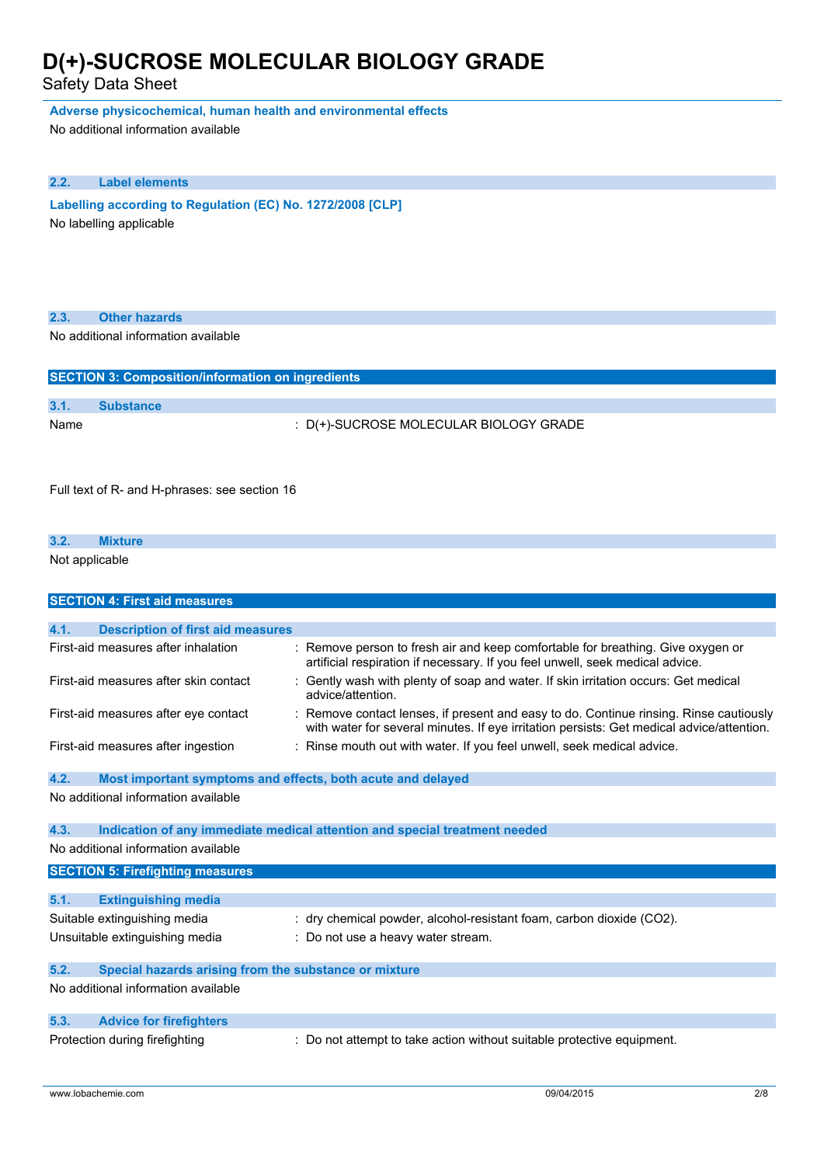Safety Data Sheet

**Adverse physicochemical, human health and environmental effects**

No additional information available

### **2.2. Label elements**

**Labelling according to Regulation** (EC) No. 1272/2008 [CLP] No labelling applicable

| 2.3. | <b>Other hazards</b>                                        |                                                                                                                                                                                     |
|------|-------------------------------------------------------------|-------------------------------------------------------------------------------------------------------------------------------------------------------------------------------------|
|      | No additional information available                         |                                                                                                                                                                                     |
|      |                                                             |                                                                                                                                                                                     |
|      | <b>SECTION 3: Composition/information on ingredients</b>    |                                                                                                                                                                                     |
| 3.1. | <b>Substance</b>                                            |                                                                                                                                                                                     |
| Name |                                                             | : D(+)-SUCROSE MOLECULAR BIOLOGY GRADE                                                                                                                                              |
|      | Full text of R- and H-phrases: see section 16               |                                                                                                                                                                                     |
| 3.2. | <b>Mixture</b>                                              |                                                                                                                                                                                     |
|      | Not applicable                                              |                                                                                                                                                                                     |
|      |                                                             |                                                                                                                                                                                     |
|      | <b>SECTION 4: First aid measures</b>                        |                                                                                                                                                                                     |
| 4.1. | <b>Description of first aid measures</b>                    |                                                                                                                                                                                     |
|      | First-aid measures after inhalation                         | : Remove person to fresh air and keep comfortable for breathing. Give oxygen or<br>artificial respiration if necessary. If you feel unwell, seek medical advice.                    |
|      | First-aid measures after skin contact                       | : Gently wash with plenty of soap and water. If skin irritation occurs: Get medical<br>advice/attention.                                                                            |
|      | First-aid measures after eye contact                        | : Remove contact lenses, if present and easy to do. Continue rinsing. Rinse cautiously<br>with water for several minutes. If eye irritation persists: Get medical advice/attention. |
|      | First-aid measures after ingestion                          | : Rinse mouth out with water. If you feel unwell, seek medical advice.                                                                                                              |
| 4.2. | Most important symptoms and effects, both acute and delayed |                                                                                                                                                                                     |
|      | No additional information available                         |                                                                                                                                                                                     |
| 4.3. |                                                             | Indication of any immediate medical attention and special treatment needed                                                                                                          |
|      | No additional information available                         |                                                                                                                                                                                     |
|      | <b>SECTION 5: Firefighting measures</b>                     |                                                                                                                                                                                     |
| 5.1. | <b>Extinguishing media</b>                                  |                                                                                                                                                                                     |
|      | Suitable extinguishing media                                | : dry chemical powder, alcohol-resistant foam, carbon dioxide (CO2).                                                                                                                |
|      | Unsuitable extinguishing media                              | Do not use a heavy water stream.                                                                                                                                                    |
| 5.2. | Special hazards arising from the substance or mixture       |                                                                                                                                                                                     |
|      | No additional information available                         |                                                                                                                                                                                     |
| 5.3. | <b>Advice for firefighters</b>                              |                                                                                                                                                                                     |
|      | Protection during firefighting                              | : Do not attempt to take action without suitable protective equipment.                                                                                                              |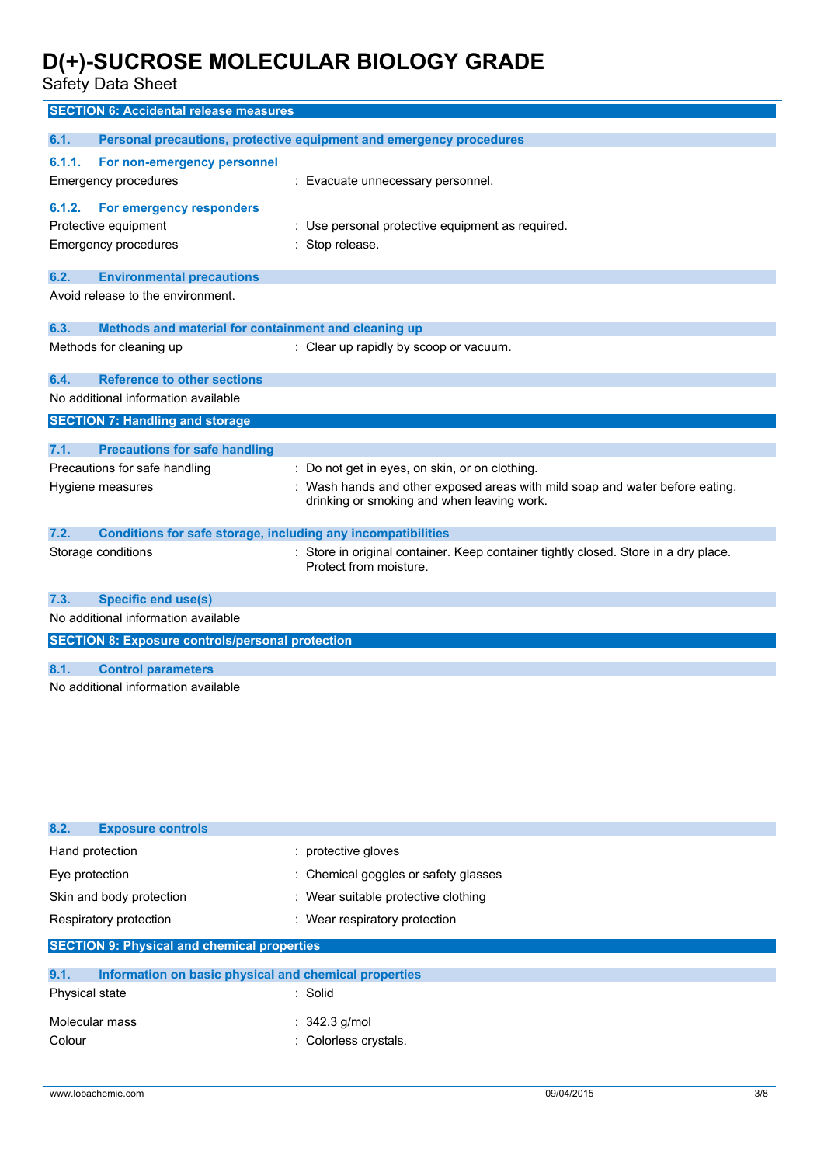Safety Data Sheet

|                                                                                                 | <b>SECTION 6: Accidental release measures</b>                       |                                                                                                                            |
|-------------------------------------------------------------------------------------------------|---------------------------------------------------------------------|----------------------------------------------------------------------------------------------------------------------------|
| 6.1.                                                                                            |                                                                     | Personal precautions, protective equipment and emergency procedures                                                        |
| 6.1.1.<br>Emergency procedures<br>6.1.2.<br>Protective equipment<br><b>Emergency procedures</b> | For non-emergency personnel<br>For emergency responders             | : Evacuate unnecessary personnel.<br>: Use personal protective equipment as required.<br>: Stop release.                   |
| 6.2.                                                                                            | <b>Environmental precautions</b>                                    |                                                                                                                            |
|                                                                                                 | Avoid release to the environment.                                   |                                                                                                                            |
| 6.3.                                                                                            | Methods and material for containment and cleaning up                |                                                                                                                            |
| Methods for cleaning up                                                                         |                                                                     | : Clear up rapidly by scoop or vacuum.                                                                                     |
| 6.4.                                                                                            | <b>Reference to other sections</b>                                  |                                                                                                                            |
|                                                                                                 | No additional information available                                 |                                                                                                                            |
|                                                                                                 | <b>SECTION 7: Handling and storage</b>                              |                                                                                                                            |
| 7.1.                                                                                            | <b>Precautions for safe handling</b>                                |                                                                                                                            |
|                                                                                                 | Precautions for safe handling                                       | : Do not get in eyes, on skin, or on clothing.                                                                             |
| Hygiene measures                                                                                |                                                                     | : Wash hands and other exposed areas with mild soap and water before eating,<br>drinking or smoking and when leaving work. |
| 7.2.                                                                                            | <b>Conditions for safe storage, including any incompatibilities</b> |                                                                                                                            |
| Storage conditions                                                                              |                                                                     | : Store in original container. Keep container tightly closed. Store in a dry place.<br>Protect from moisture.              |
| 7.3.                                                                                            | <b>Specific end use(s)</b>                                          |                                                                                                                            |
|                                                                                                 | No additional information available                                 |                                                                                                                            |
|                                                                                                 | <b>SECTION 8: Exposure controls/personal protection</b>             |                                                                                                                            |
| 8.1.                                                                                            | <b>Control parameters</b>                                           |                                                                                                                            |
|                                                                                                 | No additional information available                                 |                                                                                                                            |
|                                                                                                 |                                                                     |                                                                                                                            |

| 8.2.<br><b>Exposure controls</b>                              |                                      |  |
|---------------------------------------------------------------|--------------------------------------|--|
| Hand protection                                               | : protective gloves                  |  |
| Eye protection                                                | : Chemical goggles or safety glasses |  |
| Skin and body protection                                      | : Wear suitable protective clothing  |  |
| Respiratory protection                                        | : Wear respiratory protection        |  |
| <b>SECTION 9: Physical and chemical properties</b>            |                                      |  |
| 9.1.<br>Information on basic physical and chemical properties |                                      |  |
| Dhugiasl state                                                | $.$ Calid                            |  |

| <b>Physical state</b> | $:$ Solid                |
|-----------------------|--------------------------|
| Molecular mass        | $\therefore$ 342.3 g/mol |
| Colour                | : Colorless crystals.    |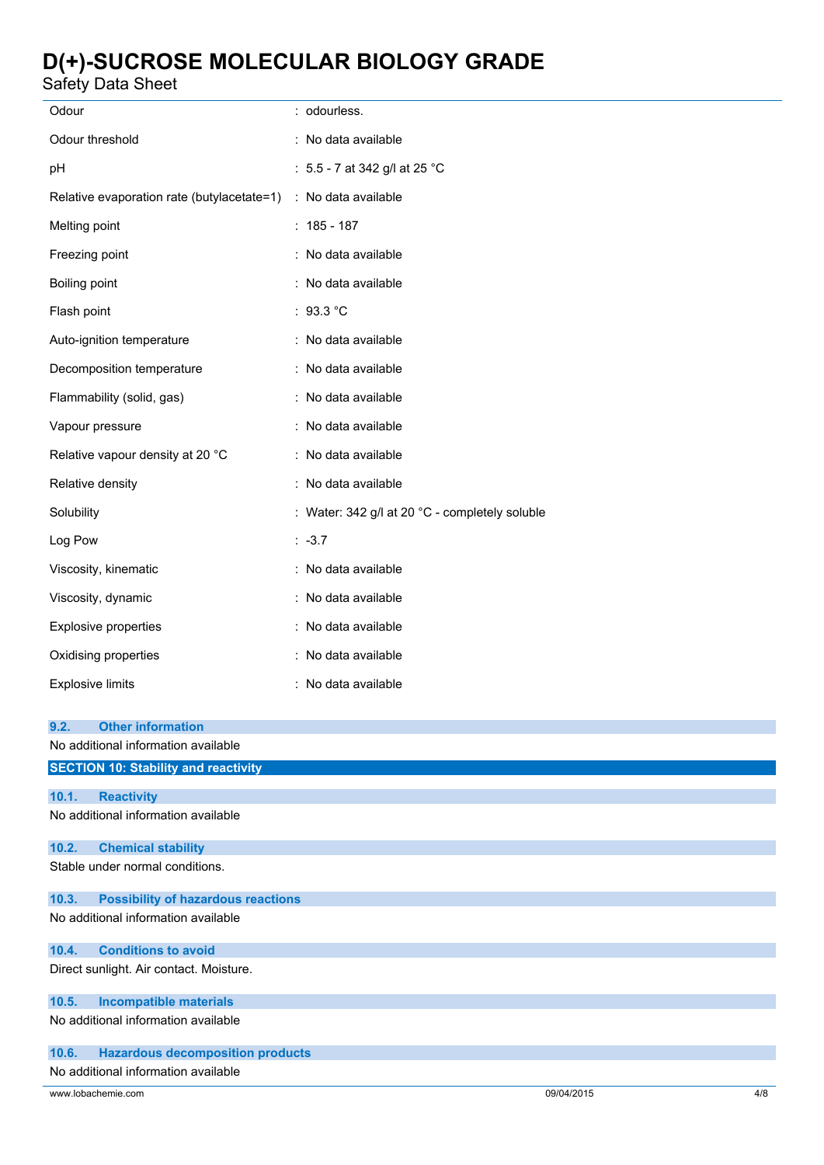Safety Data Sheet

| Odour                                                          | : odourless.                                   |
|----------------------------------------------------------------|------------------------------------------------|
| Odour threshold                                                | : No data available                            |
| pH                                                             | : 5.5 - 7 at 342 g/l at 25 °C                  |
| Relative evaporation rate (butylacetate=1) : No data available |                                                |
| Melting point                                                  | $: 185 - 187$                                  |
| Freezing point                                                 | : No data available                            |
| Boiling point                                                  | : No data available                            |
| Flash point                                                    | : 93.3 °C                                      |
| Auto-ignition temperature                                      | : No data available                            |
| Decomposition temperature                                      | : No data available                            |
| Flammability (solid, gas)                                      | : No data available                            |
| Vapour pressure                                                | : No data available                            |
| Relative vapour density at 20 °C                               | : No data available                            |
| Relative density                                               | : No data available                            |
| Solubility                                                     | : Water: 342 g/l at 20 °C - completely soluble |
| Log Pow                                                        | $: -3.7$                                       |
| Viscosity, kinematic                                           | : No data available                            |
| Viscosity, dynamic                                             | : No data available                            |
| <b>Explosive properties</b>                                    | : No data available                            |
| Oxidising properties                                           | : No data available                            |
| <b>Explosive limits</b>                                        | : No data available                            |
| <b>Other information</b><br>9.2.                               |                                                |
| No additional information available                            |                                                |
| <b>SECTION 10: Stability and reactivity</b>                    |                                                |
| <b>Reactivity</b><br>10.1.                                     |                                                |
| No additional information available                            |                                                |
| <b>Chemical stability</b><br>10.2.                             |                                                |
| Stable under normal conditions.                                |                                                |
| <b>Possibility of hazardous reactions</b><br>10.3.             |                                                |
| No additional information available                            |                                                |
| 10.4.<br><b>Conditions to avoid</b>                            |                                                |
| Direct sunlight. Air contact. Moisture.                        |                                                |
| 10.5.<br><b>Incompatible materials</b>                         |                                                |
| No additional information available                            |                                                |
| <b>Hazardous decomposition products</b><br>10.6.               |                                                |

### No additional information available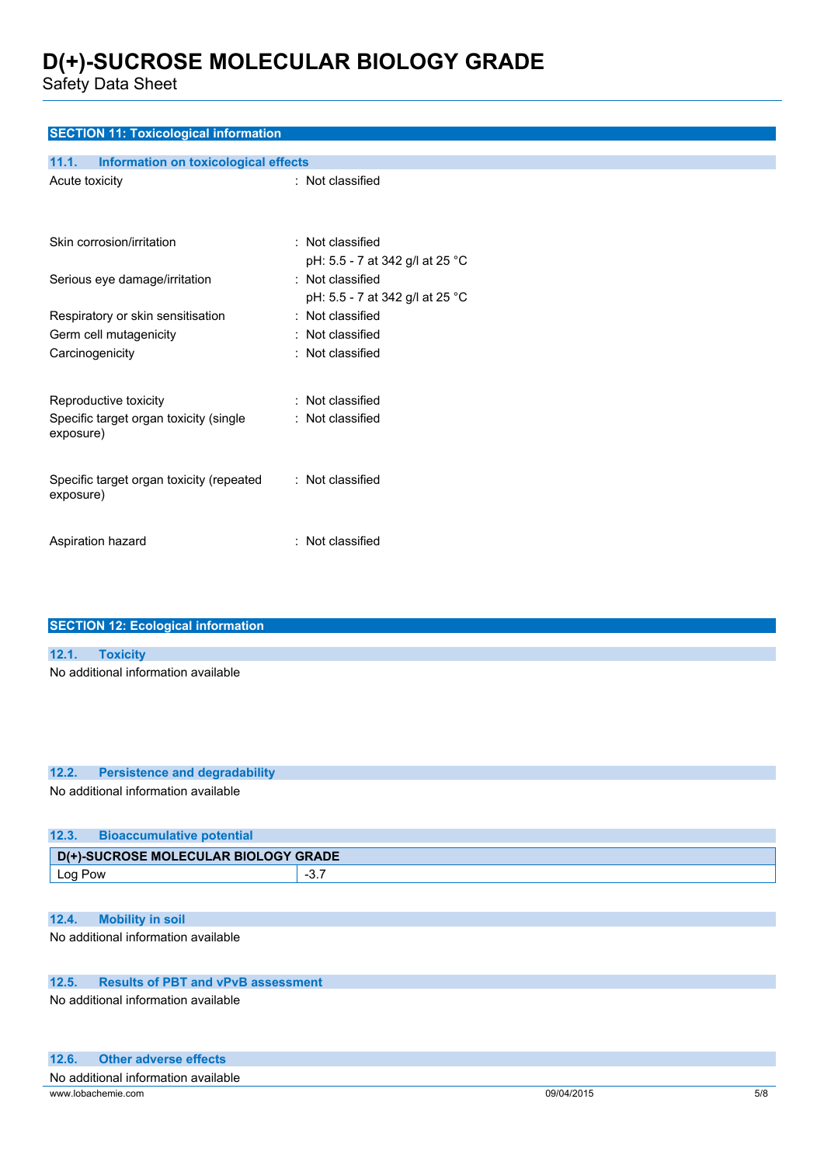Safety Data Sheet

| <b>SECTION 11: Toxicological information</b>  |                                 |  |  |
|-----------------------------------------------|---------------------------------|--|--|
| 11.1.<br>Information on toxicological effects |                                 |  |  |
| Acute toxicity                                | : Not classified                |  |  |
|                                               |                                 |  |  |
| Skin corrosion/irritation                     | : Not classified                |  |  |
|                                               | pH: 5.5 - 7 at 342 g/l at 25 °C |  |  |
| Serious eye damage/irritation                 | : Not classified                |  |  |
|                                               | pH: 5.5 - 7 at 342 g/l at 25 °C |  |  |
| Respiratory or skin sensitisation             | : Not classified                |  |  |
| Germ cell mutagenicity                        | : Not classified                |  |  |
| Carcinogenicity                               | : Not classified                |  |  |
|                                               |                                 |  |  |
| Reproductive toxicity                         | : Not classified                |  |  |
| Specific target organ toxicity (single        | : Not classified                |  |  |
| exposure)                                     |                                 |  |  |
|                                               |                                 |  |  |
| Specific target organ toxicity (repeated      | : Not classified                |  |  |
| exposure)                                     |                                 |  |  |
|                                               |                                 |  |  |
| Aspiration hazard                             | : Not classified                |  |  |
|                                               |                                 |  |  |
|                                               |                                 |  |  |

| <b>SECTION 12: Ecological information</b> |
|-------------------------------------------|
|                                           |
| 12.1. Toxicity                            |
| No additional information available       |
|                                           |
|                                           |

#### **12.2. Persistence and degradability**

No additional information available

| 12.3.<br><b>Bioaccumulative potential</b> |       |
|-------------------------------------------|-------|
| D(+)-SUCROSE MOLECULAR BIOLOGY GRADE      |       |
| Log Pow                                   | $-3.$ |
|                                           |       |

### **12.4. Mobility in soil**

No additional information available

### **12.5. Results of PBT and vPvB assessment**

No additional information available

#### **12.6. Other adverse effects**

| No.<br>available<br>המחוותי.<br>. Information |                       |                               |
|-----------------------------------------------|-----------------------|-------------------------------|
| www lot.<br>.com                              | 1201<br>$\Omega$<br>. | $-10$<br>5/8<br>$\sim$ $\sim$ |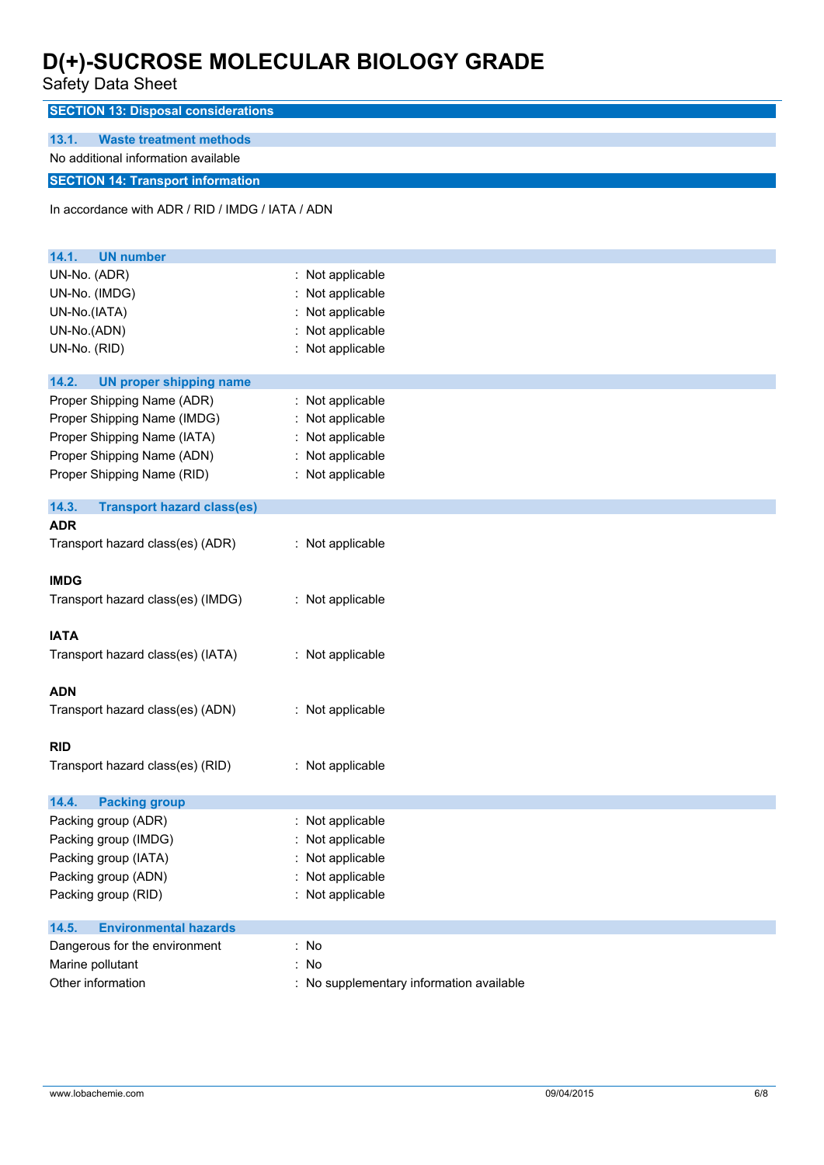Safety Data Sheet

| Salely Dala Sheet                                |                     |
|--------------------------------------------------|---------------------|
| <b>SECTION 13: Disposal considerations</b>       |                     |
|                                                  |                     |
| 13.1.<br><b>Waste treatment methods</b>          |                     |
| No additional information available              |                     |
| <b>SECTION 14: Transport information</b>         |                     |
| In accordance with ADR / RID / IMDG / IATA / ADN |                     |
|                                                  |                     |
|                                                  |                     |
| 14.1.<br><b>UN number</b>                        |                     |
| UN-No. (ADR)                                     | : Not applicable    |
| UN-No. (IMDG)                                    | Not applicable      |
| UN-No.(IATA)                                     | Not applicable      |
| UN-No.(ADN)                                      | Not applicable      |
| UN-No. (RID)                                     | Not applicable      |
| 14.2.<br><b>UN proper shipping name</b>          |                     |
| Proper Shipping Name (ADR)                       | Not applicable<br>÷ |
| Proper Shipping Name (IMDG)                      | Not applicable      |
| Proper Shipping Name (IATA)                      | Not applicable      |
|                                                  |                     |
| Proper Shipping Name (ADN)                       | Not applicable      |
| Proper Shipping Name (RID)                       | : Not applicable    |
| 14.3.<br><b>Transport hazard class(es)</b>       |                     |
| <b>ADR</b>                                       |                     |
| Transport hazard class(es) (ADR)                 | : Not applicable    |
|                                                  |                     |
| <b>IMDG</b>                                      |                     |
| Transport hazard class(es) (IMDG)                | : Not applicable    |
|                                                  |                     |
| <b>IATA</b>                                      |                     |
| Transport hazard class(es) (IATA)                | : Not applicable    |
|                                                  |                     |
| <b>ADN</b>                                       |                     |
| Transport hazard class(es) (ADN)                 | : Not applicable    |
|                                                  |                     |
| <b>RID</b>                                       |                     |
| Transport hazard class(es) (RID)                 | : Not applicable    |
| 14.4.<br><b>Packing group</b>                    |                     |
| Packing group (ADR)                              | : Not applicable    |
| Packing group (IMDG)                             | Not applicable      |
| Packing group (IATA)                             | Not applicable      |
| Packing group (ADN)                              | Not applicable      |
| Packing group (RID)                              | Not applicable      |
|                                                  |                     |
| 14.5.<br><b>Environmental hazards</b>            |                     |
| Dangerous for the environment                    | : No                |
| Marine pollutant                                 | : No                |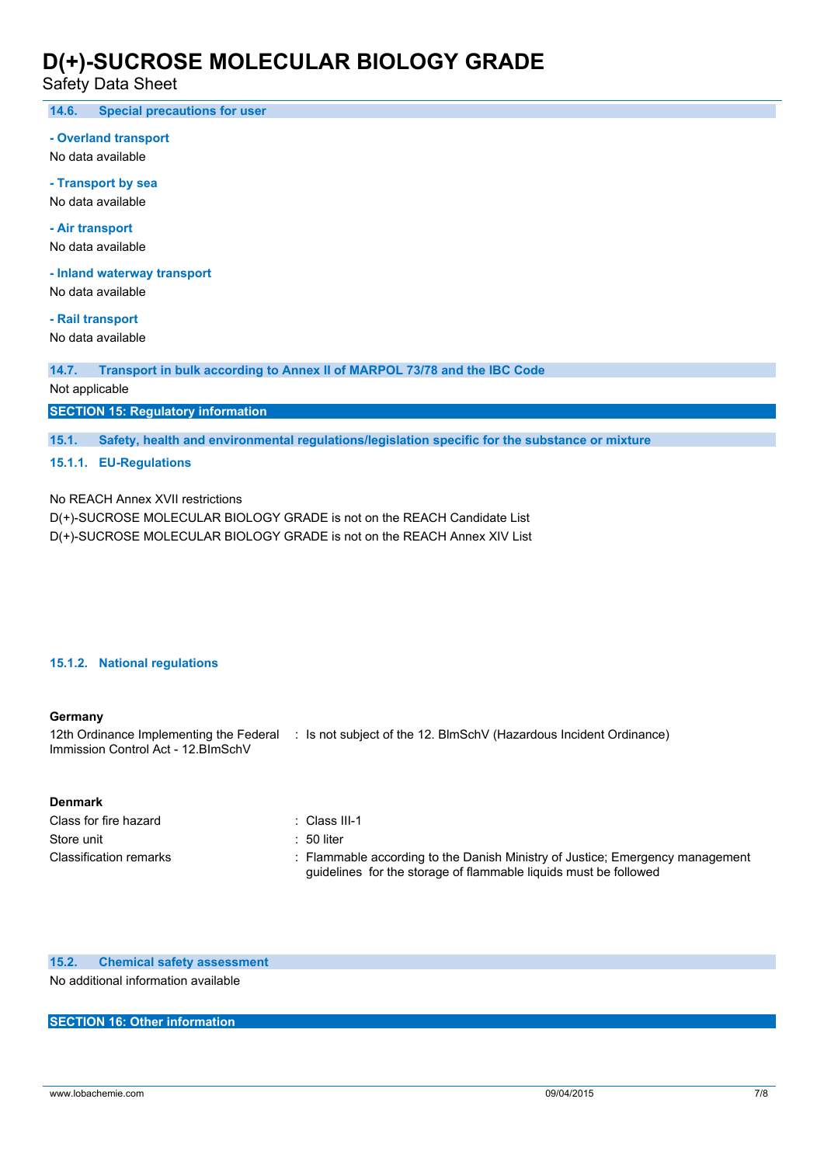Safety Data Sheet

**14.6. Special precautions for user**

#### **- Overland transport**

No data available

**- Transport by sea** No data available

**- Air transport** No data available

**- Inland waterway transport**

No data available

**- Rail transport**

No data available

**14.7. Transport in bulk according to Annex II of MARPOL 73/78 and the IBC Code**

Not applicable

**SECTION 15: Regulatory information**

**15.1. Safety, health and environmental regulations/legislation specific for the substance or mixture**

### **15.1.1. EU-Regulations**

No REACH Annex XVII restrictions

D(+)-SUCROSE MOLECULAR BIOLOGY GRADE is not on the REACH Candidate List

D(+)-SUCROSE MOLECULAR BIOLOGY GRADE is not on the REACH Annex XIV List

### **15.1.2. National regulations**

#### **Germany**

12th Ordinance Implementing the Federal : Is not subject of the 12. BlmSchV (Hazardous Incident Ordinance) Immission Control Act - 12.BImSchV

#### **Denmark**

| Class for fire hazard  | ∴ Class III-1                                                                                                                                     |
|------------------------|---------------------------------------------------------------------------------------------------------------------------------------------------|
| Store unit             | :50 liter                                                                                                                                         |
| Classification remarks | : Flammable according to the Danish Ministry of Justice; Emergency management<br>guidelines for the storage of flammable liquids must be followed |

**15.2. Chemical safety assessment** No additional information available

### **SECTION 16: Other information**